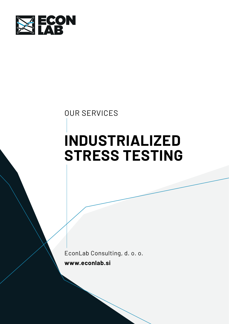

# OUR SERVICES

# INDUSTRIALIZED STRESS TESTING

EconLab Consulting, d. o. o. www.econlab.si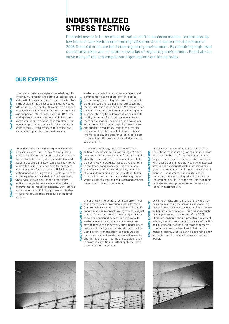## INDUSTRIALIZED STRESS TESTING

Financial sector is in the midst of radical shift in business models, perpetuated by low interest rate environment and digitalization. At the same time the echoes of 2008 financial crisis are felt in the regulatory environment. By combining high-level quantitative skills and in-depth knowledge of regulatory environment, EconLab can solve many of the challenges that organizations are facing today.

### OUR EXPERTISE

EconLab has extensive experience in helping clients in ICAAP process and carry out internal stress tests. With background gained from being involved in the design of the stress testing methodologies within the ECB and bank of Slovenia, we are ready to tackle any assignment in this area. Our team has also supported international banks in EBA stress testing in relation to stress test modelling, template completion, review of these templates from regulatory positions, preparation of explanatory notes to the ECB, assistance in DQ phases, and managerial support in stress test process Exacts. With background gaine<br>
In the design of the stress te:<br>
within the ECB and bank of S<br>
to tackle any assignment in t<br>
also supported international<br>
testing in relation to stress to<br>
plate completion, review of t<br>
re

Model risk and ensuring model quality becomes increasingly important, in the era that building models has become easier and easier with out-ofthe-box toolkits. Having strong quantitative and academic background, EconLab is well positioned to provide quality assurance even for more complex models. Our focus areas are IFRS 9 & stress testing forward looking models. Similarly, we have ample experience in validation of rating models, where we also have developed a proprietary toolkit that organizations can use themselves to improve internal validation capacity. Our staff has also experience in ECB TRIM process and is able to support the validation procedure of IRB level models. Exportant and ensuing modern the international increasingly important, in the e<br>models has become easier and<br>the-box toolkits. Having strong<br>to provide quality assurance ever<br>plex models. Our focus areas are testing forwar

We have supported banks, asset managers, and commodities trading operations, in keeping their risk exposure at bay. We have experience in building models for credit rating, stress testing, market risk, and operational risk. We can assist organizations during the entire model development process, starting from data preparation and data quality assurance & control, to model development and validation, including post-development activities such as support in policy development and support in regulatory inspections. We also place great importance on building our clients' internal capacity and thus for us, an integral part of modelling is the process of knowledge transfer to our clients. We have surported banks, asset managers, and<br>  $\frac{2}{45}$  Melri risk exposure at bay. We have experience in<br>  $\frac{2}{45}$  multiding models for credit rating, stress testing,<br>  $\frac{2}{45}$  multiding models for credit rating, st

In banking technology and data are the most critical areas of competitive advantage. We can help organizations assess their IT strategy and the viability of current core IT components and help plan out a way forward. Data also plays a key role in regulatory compliance and it is the foundation of any quantitative methodology. Having a strong understanding on how the data is utilized in modelling, we can help design data capture and warehousing strategy and help clean and organize older data to meet current needs.

Under the low interest rate regime, more critical than ever to ensure an optimal asset allocation. Our strong background in macroeconomic and financial modelling, can help you dynamically adjust the portfolio structure to strike the right balance of seizing opportunities with limited downside. We have extensive experience in Interest rate, exchange rate and commodity price modelling, as well as solid background in market risk modelling. Being in tune with the business needs we also place special care to make the modelling results and limitations clear, leaving the decisionmakers in an optimal position to further apply their own experience and judgement.

The ever-faster evolution of of banking market regulations means that a growing number of standards have to be met. These new requirements may also have major impact on business models. With background in regulatory positions, EconLab staff is well positioned to help institutions navigate the maze of new requirements in a profitable manner . EconLab's core speciality is operationalizing the methodological and quantitative requirements put forth by the regulators, in their typical non-prescriptive style that leaves a lot of room for interpretation.

Low interest rate environment and new technologies are reshaping the banking landscape This necessitates more focus on new business models and operational efficiency. This also has brought new regulatory scrutiny as part of the SREP. Therefore, on banks should proactively review of existing strategy from the point of view of viability and sustainability of the business model, market competitiveness and benchmark their performance to peers. Econlab can help in forging a new strategic direction, and help makes operations leaner.





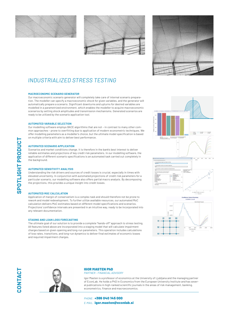





## INDUSTRIALIZED STRESS TESTING

#### MACROECONOMIC SCENARIO GENERATOR

Our macroeconomic scenario generator will completely take care of internal scenario preparation. The modeller can specify a macroeconomic shock for given variables, and the generator will automatically prepare a scenario. Significant downturns and upturns for desired variables are modelled in a parametrized environment, which enables the modeller to acquire macroeconomic scenarios by setting shock amplitudes and transmission mechanisms. Generated scenarios are ready to be utilized by the scenario application tool.

#### AUTOMATED VARIABLE SELECTION

Our modelling software employs BACE algorithms that are not – in contrast to many other common approaches – prone to overfitting due to application of modern econometric techniques. We offer modelling parameters as a modeller's choice, but the ultimate model specification is based on multiple criteria with aim to deliver best performance.

#### AUTOMATED SCENARIO APPLICATION

Scenarios and market conditions change. It is therefore in the bank's best interest to deliver reliable estimates and projections of key credit risk parameters. In our modelling software, the application of different scenario specifications is an automated task carried out completely in the background.

#### AUTOMATED SENSITIVITY ANALYSIS

Understanding the risk drivers and sources of credit losses is crucial, especially in times with elevated uncertainty. In conjunction with automated projections of credit risk parameters for a particular scenario, our modelling software also offers partial macro analysis. By decomposing the projections, this provides a unique insight into credit losses.

#### AUTOMATED MOC CALCULATION

Application of margin of conservatism is a complex task and should therefore not be prone to rework and model redevelopment. To further utilize available resources, our automated MoC calculation delivers MoC estimates based on different model specifications and scenarios. Projections' confidence intervals are presented in an intuitive way, ready to be incorporated into any relevant documentation.

#### STAGING AND LOAN LOSS FORECASTING

The ultimate goal of our solution is to provide a complete "hands-off" approach to stress testing. All features listed above are incorporated into a staging model that will calculate impairment charges based on given opening and long-run parameters. This operation includes calculations of loss rates, transitions, and long-run dynamics to deliver final estimates of economic losses and required impairment charges.





#### IGOR MASTEN PhD PARTNER - FINANCIAL ADVISORY

Igor Masten is a professor of economics at the University of Ljubljana and the managing partner of EconLab. He holds a PhD in Economics from the European University Institute and has several publications in high-ranked scientific journals in the areas of risk management, banking, econometrics, finance and macroeconomics.

PHONE: +386 040 145 000 E-MAIL: igor.masten@econlab.si

CONTACT